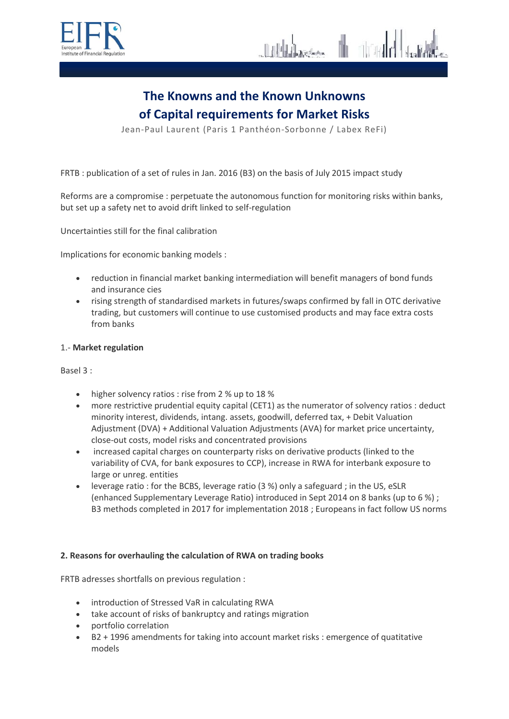



Jean-Paul Laurent (Paris 1 Panthéon-Sorbonne / Labex ReFi)

FRTB : publication of a set of rules in Jan. 2016 (B3) on the basis of July 2015 impact study

Reforms are a compromise : perpetuate the autonomous function for monitoring risks within banks, but set up a safety net to avoid drift linked to self-regulation

Uncertainties still for the final calibration

Implications for economic banking models :

- reduction in financial market banking intermediation will benefit managers of bond funds and insurance cies
- rising strength of standardised markets in futures/swaps confirmed by fall in OTC derivative trading, but customers will continue to use customised products and may face extra costs from banks

#### 1.- **Market regulation**

Basel 3 :

- higher solvency ratios : rise from 2 % up to 18 %
- more restrictive prudential equity capital (CET1) as the numerator of solvency ratios : deduct minority interest, dividends, intang. assets, goodwill, deferred tax, + Debit Valuation Adjustment (DVA) + Additional Valuation Adjustments (AVA) for market price uncertainty, close-out costs, model risks and concentrated provisions
- increased capital charges on counterparty risks on derivative products (linked to the variability of CVA, for bank exposures to CCP), increase in RWA for interbank exposure to large or unreg. entities
- leverage ratio : for the BCBS, leverage ratio (3 %) only a safeguard ; in the US, eSLR (enhanced Supplementary Leverage Ratio) introduced in Sept 2014 on 8 banks (up to 6 %) ; B3 methods completed in 2017 for implementation 2018 ; Europeans in fact follow US norms

### **2. Reasons for overhauling the calculation of RWA on trading books**

FRTB adresses shortfalls on previous regulation :

- introduction of Stressed VaR in calculating RWA
- take account of risks of bankruptcy and ratings migration
- portfolio correlation
- B2 + 1996 amendments for taking into account market risks : emergence of quatitative models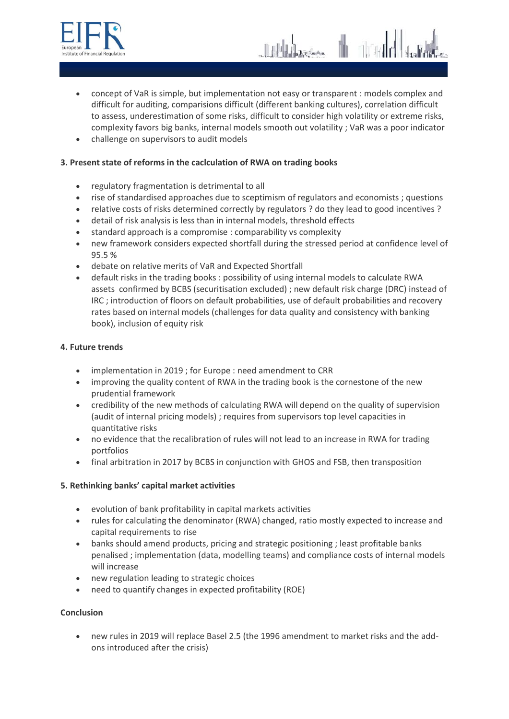

- concept of VaR is simple, but implementation not easy or transparent : models complex and difficult for auditing, comparisions difficult (different banking cultures), correlation difficult to assess, underestimation of some risks, difficult to consider high volatility or extreme risks, complexity favors big banks, internal models smooth out volatility ; VaR was a poor indicator
- challenge on supervisors to audit models

# **3. Present state of reforms in the caclculation of RWA on trading books**

- regulatory fragmentation is detrimental to all
- rise of standardised approaches due to sceptimism of regulators and economists ; questions
- relative costs of risks determined correctly by regulators ? do they lead to good incentives ?
- detail of risk analysis is less than in internal models, threshold effects
- standard approach is a compromise : comparability vs complexity
- new framework considers expected shortfall during the stressed period at confidence level of 95.5 %
- debate on relative merits of VaR and Expected Shortfall
- default risks in the trading books : possibility of using internal models to calculate RWA assets confirmed by BCBS (securitisation excluded) ; new default risk charge (DRC) instead of IRC ; introduction of floors on default probabilities, use of default probabilities and recovery rates based on internal models (challenges for data quality and consistency with banking book), inclusion of equity risk

## **4. Future trends**

- implementation in 2019 ; for Europe : need amendment to CRR
- improving the quality content of RWA in the trading book is the cornestone of the new prudential framework
- credibility of the new methods of calculating RWA will depend on the quality of supervision (audit of internal pricing models) ; requires from supervisors top level capacities in quantitative risks
- no evidence that the recalibration of rules will not lead to an increase in RWA for trading portfolios
- final arbitration in 2017 by BCBS in conjunction with GHOS and FSB, then transposition

# **5. Rethinking banks' capital market activities**

- evolution of bank profitability in capital markets activities
- rules for calculating the denominator (RWA) changed, ratio mostly expected to increase and capital requirements to rise
- banks should amend products, pricing and strategic positioning ; least profitable banks penalised ; implementation (data, modelling teams) and compliance costs of internal models will increase
- new regulation leading to strategic choices
- need to quantify changes in expected profitability (ROE)

### **Conclusion**

 new rules in 2019 will replace Basel 2.5 (the 1996 amendment to market risks and the addons introduced after the crisis)